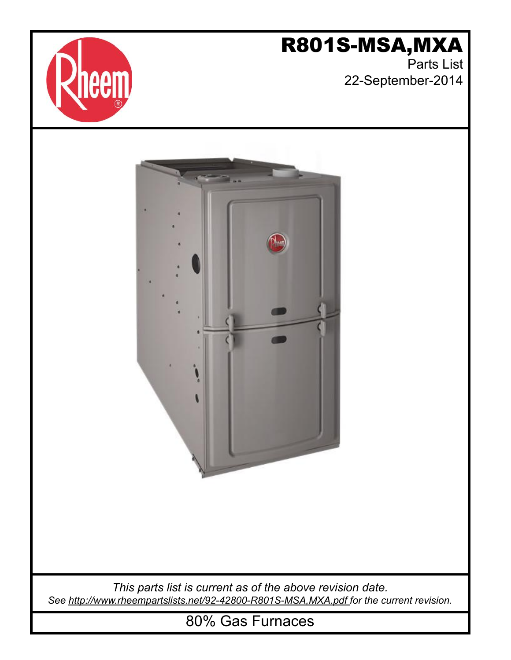

# R801S-MSA,MXA

Parts List 22-September-2014



*This parts list is current as of the above revision date. See [http://www.rheempartslists.net/92-42800-R801S-MSA,MXA.pdf f](http://www.rheempartslists.net/92-42800-R801S-MSA,MXA.pdf)or the current revision.*

80% Gas Furnaces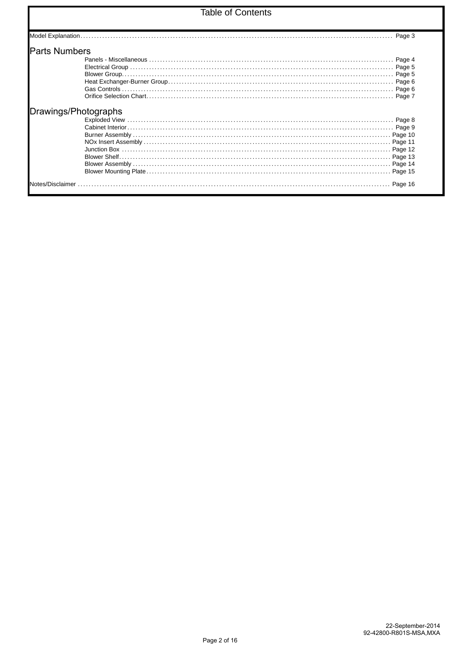### **Table of Contents**

| <b>Parts Numbers</b> |         |
|----------------------|---------|
|                      | Page 4  |
|                      | Page 5  |
|                      | Page 5  |
|                      |         |
|                      | Page 6  |
|                      | Page 7  |
|                      |         |
|                      | Page 8  |
|                      | Page 10 |
|                      | Page 11 |
|                      | Page 12 |
|                      | Page 13 |
|                      | Page 14 |
|                      |         |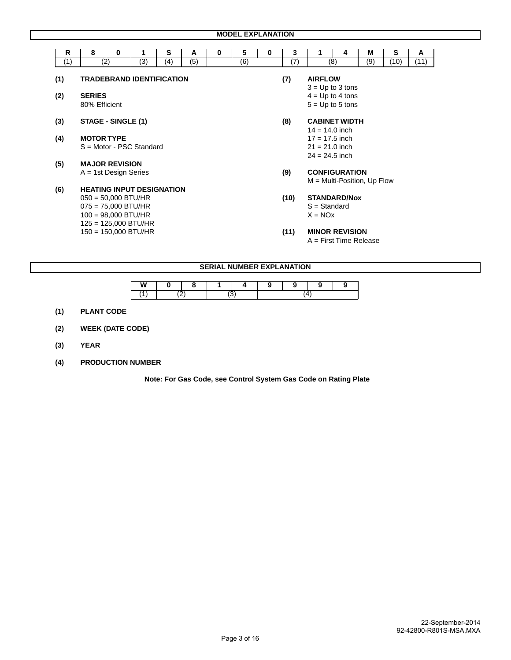| R   | 8                                              | 0                     | 1                                | s   | A                                                          | 0 | 5                | 0 | 3                | 1                                                        | 4   | м   | s               | A    |  |
|-----|------------------------------------------------|-----------------------|----------------------------------|-----|------------------------------------------------------------|---|------------------|---|------------------|----------------------------------------------------------|-----|-----|-----------------|------|--|
| (1) |                                                | (2)                   | $\overline{(3)}$                 | (4) | (5)                                                        |   | $\overline{(6)}$ |   | $\overline{(7)}$ |                                                          | (8) | (9) | $^{\prime}$ 10) | (11) |  |
| (1) |                                                |                       | <b>TRADEBRAND IDENTIFICATION</b> |     |                                                            |   |                  |   | (7)              | <b>AIRFLOW</b><br>$3 = Up to 3 tons$                     |     |     |                 |      |  |
| (2) | <b>SERIES</b><br>80% Efficient                 |                       |                                  |     |                                                            |   |                  |   |                  | $4 = Up to 4 tons$<br>$5 = Up to 5 tons$                 |     |     |                 |      |  |
| (3) | STAGE - SINGLE (1)                             |                       |                                  |     |                                                            |   |                  |   | (8)              | <b>CABINET WIDTH</b><br>$14 = 14.0$ inch                 |     |     |                 |      |  |
| (4) | <b>MOTOR TYPE</b>                              |                       | S = Motor - PSC Standard         |     |                                                            |   |                  |   |                  | $17 = 17.5$ inch<br>$21 = 21.0$ inch<br>$24 = 24.5$ inch |     |     |                 |      |  |
| (5) | <b>MAJOR REVISION</b>                          |                       |                                  |     |                                                            |   |                  |   |                  |                                                          |     |     |                 |      |  |
|     | $A = 1st$ Design Series                        |                       |                                  |     |                                                            |   |                  |   | (9)              | <b>CONFIGURATION</b><br>$M = Multi-Position, Up Flow$    |     |     |                 |      |  |
| (6) |                                                |                       | <b>HEATING INPUT DESIGNATION</b> |     |                                                            |   |                  |   |                  |                                                          |     |     |                 |      |  |
|     | $050 = 50,000$ BTU/HR<br>$075 = 75,000$ BTU/HR | $100 = 98,000$ BTU/HR | $125 = 125,000$ BTU/HR           |     | <b>STANDARD/Nox</b><br>(10)<br>$S = Standard$<br>$X = NOX$ |   |                  |   |                  |                                                          |     |     |                 |      |  |
|     |                                                |                       | $150 = 150,000$ BTU/HR           |     |                                                            |   |                  |   | (11)             | <b>MINOR REVISION</b><br>$A =$ First Time Release        |     |     |                 |      |  |

### **SERIAL NUMBER EXPLANATION**

| W |  |  |  |  |
|---|--|--|--|--|
|   |  |  |  |  |

- **(1) PLANT CODE**
- **(2) WEEK (DATE CODE)**
- **(3) YEAR**
- **(4) PRODUCTION NUMBER**

 **Note: For Gas Code, see Control System Gas Code on Rating Plate**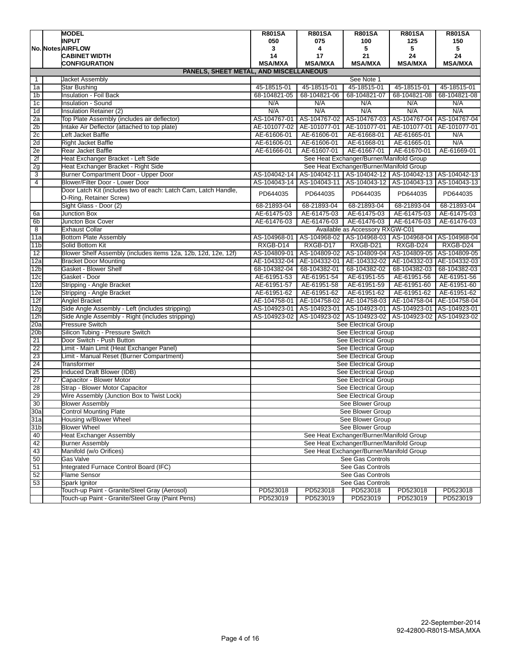|                 | <b>MODEL</b>                                                                              | <b>R801SA</b><br><b>R801SA</b><br><b>R801SA</b><br><b>R801SA</b><br><b>R801SA</b> |                |                                                           |                           |                |  |  |  |
|-----------------|-------------------------------------------------------------------------------------------|-----------------------------------------------------------------------------------|----------------|-----------------------------------------------------------|---------------------------|----------------|--|--|--|
|                 | <b>INPUT</b>                                                                              | 050                                                                               | 075            | 100                                                       | 125                       | 150            |  |  |  |
|                 | No. Notes AIRFLOW                                                                         | 3                                                                                 | 4              | 5                                                         | 5                         | 5              |  |  |  |
|                 | <b>CABINET WIDTH</b>                                                                      | 14                                                                                | 17             | 21                                                        | 24                        | 24             |  |  |  |
|                 | <b>CONFIGURATION</b>                                                                      | <b>MSA/MXA</b>                                                                    | <b>MSA/MXA</b> | <b>MSA/MXA</b>                                            | <b>MSA/MXA</b>            | <b>MSA/MXA</b> |  |  |  |
|                 | PANELS, SHEET METAL, AND MISCELLANEOUS                                                    |                                                                                   |                |                                                           |                           |                |  |  |  |
| $\mathbf 1$     | <b>Jacket Assembly</b>                                                                    |                                                                                   |                | See Note 1                                                |                           |                |  |  |  |
| 1a              | Star Bushing                                                                              | 45-18515-01                                                                       | 45-18515-01    | 45-18515-01                                               | 45-18515-01               | 45-18515-01    |  |  |  |
| 1 <sub>b</sub>  | <b>Insulation - Foil Back</b>                                                             | 68-104821-05                                                                      | 68-104821-06   | 68-104821-07                                              | 68-104821-08              | 68-104821-08   |  |  |  |
| 1 <sub>c</sub>  | Insulation - Sound                                                                        | N/A                                                                               | N/A            | N/A                                                       | N/A                       | N/A            |  |  |  |
| 1 <sub>d</sub>  | Insulation Retainer (2)                                                                   | N/A                                                                               | N/A            | N/A                                                       | N/A                       | N/A            |  |  |  |
| 2a              | Top Plate Assembly (includes air deflector)                                               | AS-104767-01                                                                      | AS-104767-02   | AS-104767-03                                              | AS-104767-04 AS-104767-04 |                |  |  |  |
| 2 <sub>b</sub>  | Intake Air Deflector (attached to top plate)                                              | AE-101077-02                                                                      | AE-101077-01   | AE-101077-01                                              | AE-101077-01              | AE-101077-01   |  |  |  |
| 2c              | eft Jacket Baffle                                                                         | AE-61606-01                                                                       | AE-61606-01    | AE-61668-01                                               | AE-61665-01               | N/A            |  |  |  |
| 2d              | <b>Right Jacket Baffle</b>                                                                | AE-61606-01                                                                       | AE-61606-01    | AE-61668-01                                               | AE-61665-01               | N/A            |  |  |  |
| 2e              | <b>Rear Jacket Baffle</b>                                                                 | AE-61666-01                                                                       | AE-61607-01    | AE-61667-01                                               | AE-61670-01               | AE-61669-01    |  |  |  |
| 2f              | Heat Exchanger Bracket - Left Side                                                        |                                                                                   |                | See Heat Exchanger/Burner/Manifold Group                  |                           |                |  |  |  |
| 2g              | Heat Exchanger Bracket - Right Side                                                       |                                                                                   |                | See Heat Exchanger/Burner/Manifold Group                  |                           |                |  |  |  |
| 3               | Burner Compartment Door - Upper Door                                                      | AS-104042-14                                                                      |                | AS-104042-11 AS-104042-12                                 | AS-104042-13              | AS-104042-13   |  |  |  |
| $\overline{4}$  | Blower/Filter Door - Lower Door                                                           | AS-104043-14                                                                      |                | AS-104043-11 AS-104043-12                                 | AS-104043-13 AS-104043-13 |                |  |  |  |
|                 | Door Latch Kit (includes two of each: Latch Cam, Latch Handle,<br>O-Ring, Retainer Screw) | PD644035                                                                          | PD644035       | PD644035                                                  | PD644035                  | PD644035       |  |  |  |
|                 | Sight Glass - Door (2)                                                                    | 68-21893-04                                                                       | 68-21893-04    | 68-21893-04                                               | 68-21893-04               | 68-21893-04    |  |  |  |
| 6a              | Junction Box                                                                              | AE-61475-03                                                                       | AE-61475-03    | AE-61475-03                                               | AE-61475-03               | AE-61475-03    |  |  |  |
| 6 <sub>b</sub>  | Juncton Box Cover                                                                         | AE-61476-03                                                                       | AE-61476-03    | AE-61476-03                                               | AE-61476-03               | AE-61476-03    |  |  |  |
| $\overline{8}$  | <b>Exhaust Collar</b>                                                                     | Available as Accessory RXGW-C01                                                   |                |                                                           |                           |                |  |  |  |
| 11a             | <b>Bottom Plate Assembly</b>                                                              | AS-104968-01                                                                      |                | AS-104968-02   AS-104968-03   AS-104968-04   AS-104968-04 |                           |                |  |  |  |
| 11 <sub>b</sub> | Solid Bottom Kit                                                                          | RXGB-D14                                                                          | RXGB-D17       | RXGB-D21                                                  | RXGB-D24                  | RXGB-D24       |  |  |  |
| 12              | Blower Shelf Assembly (includes items 12a, 12b, 12d, 12e, 12f)                            | AS-104809-01                                                                      | AS-104809-02   | AS-104809-04                                              | AS-104809-05              | AS-104809-05   |  |  |  |
| 12a             | <b>Bracket Door Mounting</b>                                                              | AE-104332-04                                                                      | AE-104332-01   | AE-104332-02                                              | AE-104332-03              | AE-104332-03   |  |  |  |
| 12 <sub>b</sub> | Gasket - Blower Shelf                                                                     | 68-104382-04                                                                      | 68-104382-01   | 68-104382-02                                              | 68-104382-03              | 68-104382-03   |  |  |  |
| 12c             | Gasket - Door                                                                             | AE-61951-53                                                                       | AE-61951-54    | AE-61951-55                                               | AE-61951-56               | AE-61951-56    |  |  |  |
| 12d             | Stripping - Angle Bracket                                                                 | AE-61951-57                                                                       | AE-61951-58    | AE-61951-59                                               | AE-61951-60               | AE-61951-60    |  |  |  |
| 12e             | Stripping - Angle Bracket                                                                 | AE-61951-62                                                                       | AE-61951-62    | AE-61951-62                                               | AE-61951-62               | AE-61951-62    |  |  |  |
| 12f             | Anglel Bracket                                                                            | AE-104758-01                                                                      | AE-104758-02   | AE-104758-03                                              | AE-104758-04              | AE-104758-04   |  |  |  |
| 12g             | Side Angle Assembly - Left (includes stripping)                                           | AS-104923-01                                                                      | AS-104923-01   | AS-104923-01                                              | AS-104923-01              | AS-104923-01   |  |  |  |
| 12h             | Side Angle Assembly - Right (includes stripping)                                          | AS-104923-02                                                                      | AS-104923-02   | AS-104923-02                                              | AS-104923-02 AS-104923-02 |                |  |  |  |
| 20a             | <b>Pressure Switch</b>                                                                    |                                                                                   |                | See Electrical Group                                      |                           |                |  |  |  |
| 20 <sub>b</sub> | Silicon Tubing - Pressure Switch                                                          |                                                                                   |                | See Electrical Group                                      |                           |                |  |  |  |
| 21              | Door Switch - Push Button                                                                 |                                                                                   |                | See Electrical Group                                      |                           |                |  |  |  |
| $\overline{22}$ | imit - Main Limit (Heat Exchanger Panel)                                                  |                                                                                   |                | See Electrical Group                                      |                           |                |  |  |  |
| 23              | Limit - Manual Reset (Burner Compartment)                                                 |                                                                                   |                | See Electrical Group                                      |                           |                |  |  |  |
| 24<br>25        | Transformer<br>Induced Draft Blower (IDB)                                                 |                                                                                   |                | See Electrical Group                                      |                           |                |  |  |  |
| 27              | Capacitor - Blower Motor                                                                  |                                                                                   |                | See Electrical Group<br>See Electrical Group              |                           |                |  |  |  |
| 28              | Strap - Blower Motor Capacitor                                                            |                                                                                   |                | See Electrical Group                                      |                           |                |  |  |  |
| 29              | Wire Assembly (Junction Box to Twist Lock)                                                |                                                                                   |                | See Electrical Group                                      |                           |                |  |  |  |
| 30              |                                                                                           |                                                                                   |                | See Blower Group                                          |                           |                |  |  |  |
| 30a             | <b>Blower Assembly</b><br><b>Control Mounting Plate</b>                                   |                                                                                   |                | See Blower Group                                          |                           |                |  |  |  |
| 31a             | Housing w/Blower Wheel                                                                    |                                                                                   |                | See Blower Group                                          |                           |                |  |  |  |
| 31 <sub>b</sub> | <b>Blower Wheel</b>                                                                       | See Blower Group                                                                  |                |                                                           |                           |                |  |  |  |
| 40              | <b>Heat Exchanger Assembly</b>                                                            | See Heat Exchanger/Burner/Manifold Group                                          |                |                                                           |                           |                |  |  |  |
| 42              | <b>Burner Assembly</b>                                                                    | See Heat Exchanger/Burner/Manifold Group                                          |                |                                                           |                           |                |  |  |  |
| 43              | Manifold (w/o Orifices)                                                                   | See Heat Exchanger/Burner/Manifold Group                                          |                |                                                           |                           |                |  |  |  |
| 50              | Gas Valve                                                                                 | See Gas Controls                                                                  |                |                                                           |                           |                |  |  |  |
| 51              | Integrated Furnace Control Board (IFC)                                                    | See Gas Controls                                                                  |                |                                                           |                           |                |  |  |  |
| 52              | Flame Sensor                                                                              |                                                                                   |                | See Gas Controls                                          |                           |                |  |  |  |
| 53              | Spark Ignitor                                                                             |                                                                                   |                | See Gas Controls                                          |                           |                |  |  |  |
|                 | Touch-up Paint - Granite/Steel Gray (Aerosol)                                             | PD523018                                                                          | PD523018       | PD523018                                                  | PD523018                  | PD523018       |  |  |  |
|                 | Touch-up Paint - Granite/Steel Gray (Paint Pens)                                          | PD523019                                                                          | PD523019       | PD523019                                                  | PD523019                  | PD523019       |  |  |  |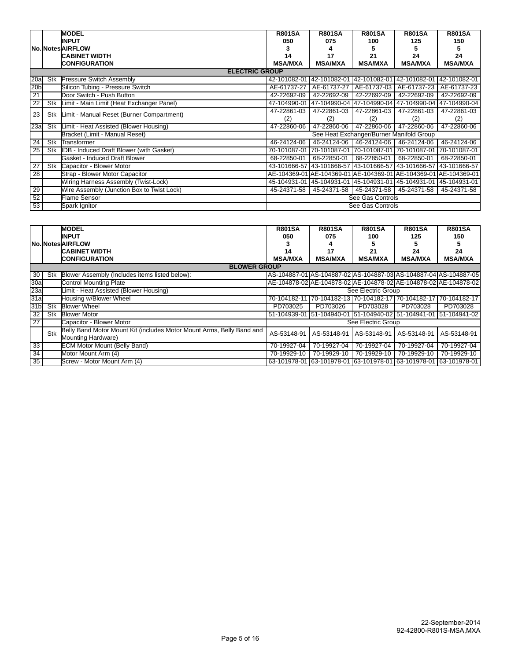|                 |     | <b>MODEL</b>                                    | <b>R801SA</b>                            | <b>R801SA</b>                          | <b>R801SA</b>                                                    | <b>R801SA</b>             | <b>R801SA</b>  |  |  |
|-----------------|-----|-------------------------------------------------|------------------------------------------|----------------------------------------|------------------------------------------------------------------|---------------------------|----------------|--|--|
|                 |     | <b>INPUT</b>                                    | 050                                      | 075                                    | 100                                                              | 125                       | 150            |  |  |
|                 |     | No. Notes AIRFLOW                               |                                          | 4                                      |                                                                  |                           | 5              |  |  |
|                 |     | <b>CABINET WIDTH</b>                            | 14                                       | 17                                     | 21                                                               | 24                        | 24             |  |  |
|                 |     | <b>CONFIGURATION</b>                            | <b>MSA/MXA</b>                           | <b>MSA/MXA</b>                         | <b>MSA/MXA</b>                                                   | <b>MSA/MXA</b>            | <b>MSA/MXA</b> |  |  |
|                 |     | <b>ELECTRIC GROUP</b>                           |                                          |                                        |                                                                  |                           |                |  |  |
| 20a             | Stk | <b>Pressure Switch Assembly</b>                 | 42-101082-01                             | 42-101082-01 42-101082-01              |                                                                  | 42-101082-01 42-101082-01 |                |  |  |
| 20 <sub>b</sub> |     | Silicon Tubing - Pressure Switch                | AE-61737-27                              | AE-61737-27                            | AE-61737-03                                                      | AE-61737-23               | AE-61737-23    |  |  |
| 21              |     | Door Switch - Push Button                       | 42-22692-09                              | 42-22692-09                            | 42-22692-09                                                      | 42-22692-09               | 42-22692-09    |  |  |
| 22              | Stk | Limit - Main Limit (Heat Exchanger Panel)       | 47-104990-01                             |                                        | 47-104990-04 47-104990-04 47-104990-04 47-104990-04              |                           |                |  |  |
| 23              | Stk | Limit - Manual Reset (Burner Compartment)       | 47-22861-03                              | 47-22861-03                            | 47-22861-03                                                      | 47-22861-03               | 47-22861-03    |  |  |
|                 |     |                                                 | (2)                                      | (2)                                    | (2)                                                              | (2)                       | (2)            |  |  |
| 23a             | Stk | Limit - Heat Assisted (Blower Housing)          | 47-22860-06                              | 47-22860-06                            | 47-22860-06                                                      | 47-22860-06               | 47-22860-06    |  |  |
|                 |     | Bracket (Limit - Manual Reset)                  | See Heat Exchanger/Burner Manifold Group |                                        |                                                                  |                           |                |  |  |
| $\overline{24}$ | Stk | Transformer                                     | 46-24124-06                              | 46-24124-06                            | 46-24124-06                                                      | 46-24124-06               | 46-24124-06    |  |  |
| $\overline{25}$ | Stk | <b>IDB</b> - Induced Draft Blower (with Gasket) | 70-101087-01                             | 70-101087-01 70-101087-01              |                                                                  | 70-101087-01              | 70-101087-01   |  |  |
|                 |     | Gasket - Induced Draft Blower                   | 68-22850-01                              | 68-22850-01                            | 68-22850-01                                                      | 68-22850-01               | 68-22850-01    |  |  |
| 27              | Stk | Capacitor - Blower Motor                        |                                          |                                        | 43-101666-57 43-101666-57 43-101666-57                           | 43-101666-57 43-101666-57 |                |  |  |
| $\overline{28}$ |     | Strap - Blower Motor Capacitor                  |                                          |                                        | AE-104369-01 AE-104369-01 AE-104369-01 AE-104369-01 AE-104369-01 |                           |                |  |  |
|                 |     | Wiring Harness Assembly (Twist-Lock)            |                                          | 45-104931-01 45-104931-01 45-104931-01 |                                                                  | 45-104931-01 45-104931-01 |                |  |  |
| 29              |     | Wire Assembly (Junction Box to Twist Lock)      | 45-24371-58                              | 45-24371-58                            | 45-24371-58                                                      | 45-24371-58               | 45-24371-58    |  |  |
| 52              |     | <b>Flame Sensor</b>                             | See Gas Controls                         |                                        |                                                                  |                           |                |  |  |
| 53              |     | Spark Ignitor                                   | See Gas Controls                         |                                        |                                                                  |                           |                |  |  |

|                 |     | <b>MODEL</b>                                                          | <b>R801SA</b>  | <b>R801SA</b>                                                    | <b>R801SA</b>      | <b>R801SA</b>  | <b>R801SA</b>                                                    |
|-----------------|-----|-----------------------------------------------------------------------|----------------|------------------------------------------------------------------|--------------------|----------------|------------------------------------------------------------------|
|                 |     | <b>INPUT</b>                                                          | 050            | 075                                                              | 100                | 125            | 150                                                              |
|                 |     | <b>No. Notes AIRFLOW</b>                                              |                |                                                                  |                    |                |                                                                  |
|                 |     | <b>CABINET WIDTH</b>                                                  | 14             | 17                                                               | 21                 | 24             | 24                                                               |
|                 |     | <b>CONFIGURATION</b>                                                  | <b>MSA/MXA</b> | <b>MSA/MXA</b>                                                   | <b>MSA/MXA</b>     | <b>MSA/MXA</b> | <b>MSA/MXA</b>                                                   |
|                 |     | <b>BLOWER GROUP</b>                                                   |                |                                                                  |                    |                |                                                                  |
| 30              | Stk | Blower Assembly (Includes items listed below):                        |                | AS-104887-01 AS-104887-02 AS-104887-03 AS-104887-04 AS-104887-05 |                    |                |                                                                  |
| 30a             |     | <b>Control Mounting Plate</b>                                         |                |                                                                  |                    |                | AE-104878-02 AE-104878-02 AE-104878-02 AE-104878-02 AE-104878-02 |
| 23a             |     | Limit - Heat Assisted (Blower Housing)                                |                |                                                                  | See Electric Group |                |                                                                  |
| 31a             |     | Housing w/Blower Wheel                                                | 70-104182-11   |                                                                  |                    |                | 70-104182-13 70-104182-17 70-104182-17 70-104182-17              |
| 31 <sub>b</sub> | Stk | <b>Blower Wheel</b>                                                   | PD703025       | PD703026                                                         | PD703028           | PD703028       | PD703028                                                         |
| 32              | Stk | <b>Blower Motor</b>                                                   | 51-104939-01   |                                                                  |                    |                | 51-104940-01 51-104940-02 51-104941-01 51-104941-02              |
| $\overline{27}$ |     | Capacitor - Blower Motor                                              |                |                                                                  | See Electric Group |                |                                                                  |
|                 | Stk | Belly Band Motor Mount Kit (includes Motor Mount Arms, Belly Band and | AS-53148-91    | AS-53148-91                                                      | AS-53148-91        | AS-53148-91    | AS-53148-91                                                      |
|                 |     | Mounting Hardware)                                                    |                |                                                                  |                    |                |                                                                  |
| 33              |     | <b>ECM Motor Mount (Belly Band)</b>                                   | 70-19927-04    | 70-19927-04                                                      | 70-19927-04        | 70-19927-04    | 70-19927-04                                                      |
| $\overline{34}$ |     | Motor Mount Arm (4)                                                   | 70-19929-10    | 70-19929-10                                                      | 70-19929-10        | 70-19929-10    | 70-19929-10                                                      |
| 35              |     | Screw - Motor Mount Arm (4)                                           |                | 63-101978-01 63-101978-01 63-101978-01 63-101978-01 63-101978-01 |                    |                |                                                                  |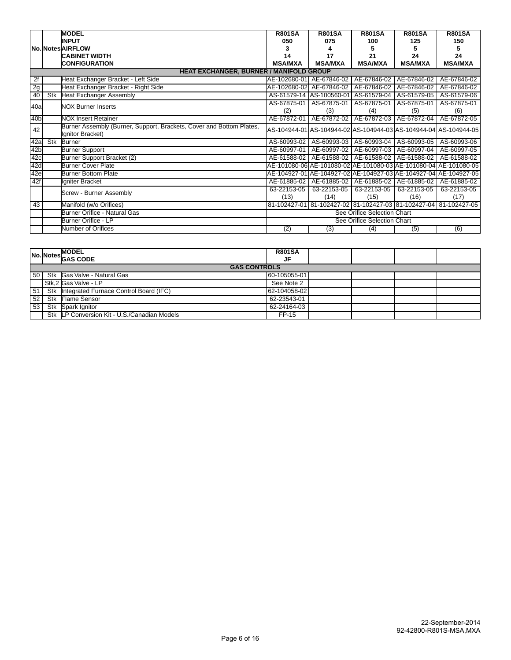|                 |     | <b>MODEL</b><br><b>INPUT</b>                                                             | <b>R801SA</b><br>050 | <b>R801SA</b><br>075                                                | <b>R801SA</b><br>100        | <b>R801SA</b><br>125 | <b>R801SA</b><br>150                                             |
|-----------------|-----|------------------------------------------------------------------------------------------|----------------------|---------------------------------------------------------------------|-----------------------------|----------------------|------------------------------------------------------------------|
|                 |     | No. Notes AIRFLOW                                                                        |                      |                                                                     |                             |                      |                                                                  |
|                 |     | <b>CABINET WIDTH</b>                                                                     | 14                   | 17                                                                  | 21                          | 24                   | 24                                                               |
|                 |     | <b>CONFIGURATION</b>                                                                     | <b>MSA/MXA</b>       | <b>MSA/MXA</b>                                                      | <b>MSA/MXA</b>              | <b>MSA/MXA</b>       | <b>MSA/MXA</b>                                                   |
|                 |     | <b>HEAT EXCHANGER, BURNER / MANIFOLD GROUP</b>                                           |                      |                                                                     |                             |                      |                                                                  |
| 2f              |     | Heat Exchanger Bracket - Left Side                                                       |                      | AE-102680-01 AE-67846-02                                            | AE-67846-02                 | AE-67846-02          | AE-67846-02                                                      |
| 2g              |     | Heat Exchanger Bracket - Right Side                                                      |                      | AE-102680-02 AE-67846-02                                            | AE-67846-02                 | AE-67846-02          | AE-67846-02                                                      |
| 40              | Stk | <b>Heat Exchanger Assembly</b>                                                           |                      | AS-61579-14 AS-100560-01 AS-61579-04                                |                             | AS-61579-05          | AS-61579-06                                                      |
| 40a             |     | <b>NOX Burner Inserts</b>                                                                | AS-67875-01          | AS-67875-01                                                         | AS-67875-01                 | AS-67875-01          | AS-67875-01                                                      |
|                 |     |                                                                                          | (2)                  | (3)                                                                 | (4)                         | (5)                  | (6)                                                              |
| 40 <sub>b</sub> |     | <b>NOX Insert Retainer</b>                                                               | AE-67872-01          | AE-67872-02                                                         | AE-67872-03                 | AE-67872-04          | AE-67872-05                                                      |
| 42              |     | Burner Assembly (Burner, Support, Brackets, Cover and Bottom Plates,<br>Ignitor Bracket) |                      |                                                                     |                             |                      | AS-104944-01 AS-104944-02 AS-104944-03 AS-104944-04 AS-104944-05 |
| 42a             | Stk | <b>Burner</b>                                                                            | AS-60993-02          |                                                                     | AS-60993-03   AS-60993-04   |                      | AS-60993-05 AS-60993-06                                          |
| 42 <sub>b</sub> |     | <b>Burner Support</b>                                                                    | AE-60997-01          | AE-60997-02                                                         | AE-60997-03                 | AE-60997-04          | AE-60997-05                                                      |
| 42c             |     | Burner Support Bracket (2)                                                               |                      | AE-61588-02   AE-61588-02   AE-61588-02   AE-61588-02   AE-61588-02 |                             |                      |                                                                  |
| 42d             |     | <b>Burner Cover Plate</b>                                                                |                      |                                                                     |                             |                      | AE-101080-06 AE-101080-02 AE-101080-03 AE-101080-04 AE-101080-05 |
| 42e             |     | <b>Burner Bottom Plate</b>                                                               |                      |                                                                     |                             |                      | AE-104927-01 AE-104927-02 AE-104927-03 AE-104927-04 AE-104927-05 |
| 42f             |     | Igniter Bracket                                                                          | AE-61885-02          |                                                                     | AE-61885-02   AE-61885-02   | AE-61885-02          | AE-61885-02                                                      |
|                 |     | Screw - Burner Assembly                                                                  | 63-22153-05          | 63-22153-05                                                         | 63-22153-05                 | 63-22153-05          | 63-22153-05                                                      |
|                 |     |                                                                                          | (13)                 | (14)                                                                | (15)                        | (16)                 | (17)                                                             |
| 43              |     | Manifold (w/o Orifices)                                                                  |                      |                                                                     |                             |                      | 81-102427-01 81-102427-02 81-102427-03 81-102427-04 81-102427-05 |
|                 |     | Burner Orifice - Natural Gas                                                             |                      |                                                                     | See Orifice Selection Chart |                      |                                                                  |
|                 |     | <b>Burner Orifice - LP</b>                                                               |                      |                                                                     | See Orifice Selection Chart |                      |                                                                  |
|                 |     | Number of Orifices                                                                       | (2)                  | (3)                                                                 | (4)                         | (5)                  | (6)                                                              |

|                 | <b>MODEL</b><br>No. Notes GAS CODE           | <b>R801SA</b><br>JF |  |  |
|-----------------|----------------------------------------------|---------------------|--|--|
|                 | <b>GAS CONTROLS</b>                          |                     |  |  |
| 50 <sup>1</sup> | Stk Gas Valve - Natural Gas                  | 60-105055-01        |  |  |
|                 | Stk.2 Gas Valve - LP                         | See Note 2          |  |  |
| 51              | Stk Integrated Furnace Control Board (IFC)   | 62-104058-02        |  |  |
| 52              | Stk Flame Sensor                             | 62-23543-01         |  |  |
| 53 <sub>1</sub> | Stk Spark Ignitor                            | 62-24164-03         |  |  |
|                 | Stk LP Conversion Kit - U.S./Canadian Models | FP-15               |  |  |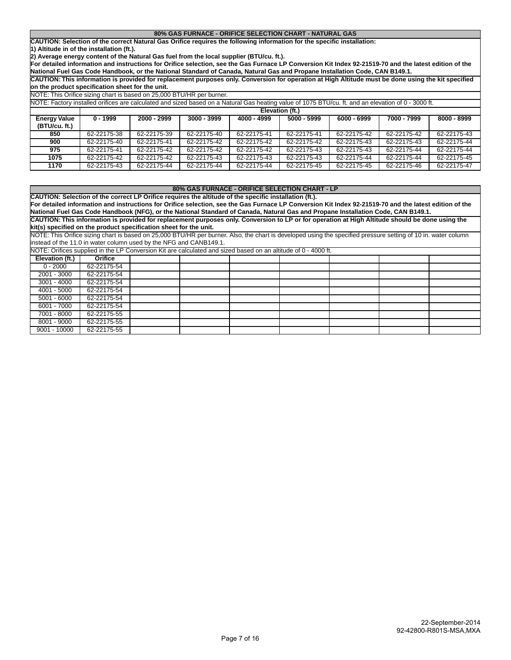#### **80% GAS FURNACE - ORIFICE SELECTION CHART - NATURAL GAS**

**CAUTION: Selection of the correct Natural Gas Orifice requires the following information for the specific installation:**

**1) Altitude in of the installation (ft.).**

**2) Average energy content of the Natural Gas fuel from the local supplier (BTU/cu. ft.).**

**For detailed information and instructions for Orifice selection, see the Gas Furnace LP Conversion Kit Index 92-21519-70 and the latest edition of the National Fuel Gas Code Handbook, or the National Standard of Canada, Natural Gas and Propane Installation Code, CAN B149.1.**

**CAUTION: This information is provided for replacement purposes only. Conversion for operation at High Altitude must be done using the kit specified on the product specification sheet for the unit.**

| NOTE: This Orifice sizing chart is based on 25,000 BTU/HR per burner. |
|-----------------------------------------------------------------------|
|-----------------------------------------------------------------------|

|                                      | NOTE: Factory installed orifices are calculated and sized based on a Natural Gas heating value of 1075 BTU/cu. ft. and an elevation of 0 - 3000 ft. |             |               |             |                 |               |             |             |  |  |  |  |
|--------------------------------------|-----------------------------------------------------------------------------------------------------------------------------------------------------|-------------|---------------|-------------|-----------------|---------------|-------------|-------------|--|--|--|--|
|                                      |                                                                                                                                                     |             |               |             | Elevation (ft.) |               |             |             |  |  |  |  |
| <b>Energy Value</b><br>(BTU/cu. ft.) | $0 - 1999$                                                                                                                                          | 2000 - 2999 | $3000 - 3999$ | 4000 - 4999 | 5000 - 5999     | $6000 - 6999$ | 7000 - 7999 | 8000 - 8999 |  |  |  |  |
| 850                                  | 62-22175-38                                                                                                                                         | 62-22175-39 | 62-22175-40   | 62-22175-41 | 62-22175-41     | 62-22175-42   | 62-22175-42 | 62-22175-43 |  |  |  |  |
| 900                                  | 62-22175-40                                                                                                                                         | 62-22175-41 | 62-22175-42   | 62-22175-42 | 62-22175-42     | 62-22175-43   | 62-22175-43 | 62-22175-44 |  |  |  |  |
| 975                                  | 62-22175-41                                                                                                                                         | 62-22175-42 | 62-22175-42   | 62-22175-42 | 62-22175-43     | 62-22175-43   | 62-22175-44 | 62-22175-44 |  |  |  |  |
| 1075                                 | 62-22175-42                                                                                                                                         | 62-22175-42 | 62-22175-43   | 62-22175-43 | 62-22175-43     | 62-22175-44   | 62-22175-44 | 62-22175-45 |  |  |  |  |
| 1170                                 | 62-22175-43                                                                                                                                         | 62-22175-44 | 62-22175-44   | 62-22175-44 | 62-22175-45     | 62-22175-45   | 62-22175-46 | 62-22175-47 |  |  |  |  |

#### **80% GAS FURNACE - ORIFICE SELECTION CHART - LP**

**CAUTION: Selection of the correct LP Orifice requires the altitude of the specific installation (ft.).**

**For detailed information and instructions for Orifice selection, see the Gas Furnace LP Conversion Kit Index 92-21519-70 and the latest edition of the National Fuel Gas Code Handbook (NFG), or the National Standard of Canada, Natural Gas and Propane Installation Code, CAN B149.1. CAUTION: This information is provided for replacement purposes only. Conversion to LP or for operation at High Altitude should be done using the**

**kit(s) specified on the product specification sheet for the unit.**

NOTE: This Orifice sizing chart is based on 25,000 BTU/HR per burner. Also, the chart is developed using the specified pressure setting of 10 in. water column instead of the 11.0 in water column used by the NFG and CANB149.1.

NOTE: Orifices supplied in the LP Conversion Kit are calculated and sized based on an altitude of 0 - 4000 ft.

| INOTE. OTHICES Supplied ITI the LF CONVERSION NR are calculated and SIZED Dased ON an although OF 4000 R. |             |  |  |  |  |  |  |  |  |  |  |  |
|-----------------------------------------------------------------------------------------------------------|-------------|--|--|--|--|--|--|--|--|--|--|--|
| Elevation (ft.)                                                                                           | Orifice     |  |  |  |  |  |  |  |  |  |  |  |
| $0 - 2000$                                                                                                | 62-22175-54 |  |  |  |  |  |  |  |  |  |  |  |
| 2001 - 3000                                                                                               | 62-22175-54 |  |  |  |  |  |  |  |  |  |  |  |
| $3001 - 4000$                                                                                             | 62-22175-54 |  |  |  |  |  |  |  |  |  |  |  |
| 4001 - 5000                                                                                               | 62-22175-54 |  |  |  |  |  |  |  |  |  |  |  |
| $5001 - 6000$                                                                                             | 62-22175-54 |  |  |  |  |  |  |  |  |  |  |  |
| 6001 - 7000                                                                                               | 62-22175-54 |  |  |  |  |  |  |  |  |  |  |  |
| 7001 - 8000                                                                                               | 62-22175-55 |  |  |  |  |  |  |  |  |  |  |  |
| 8001 - 9000                                                                                               | 62-22175-55 |  |  |  |  |  |  |  |  |  |  |  |
| $9001 - 10000$                                                                                            | 62-22175-55 |  |  |  |  |  |  |  |  |  |  |  |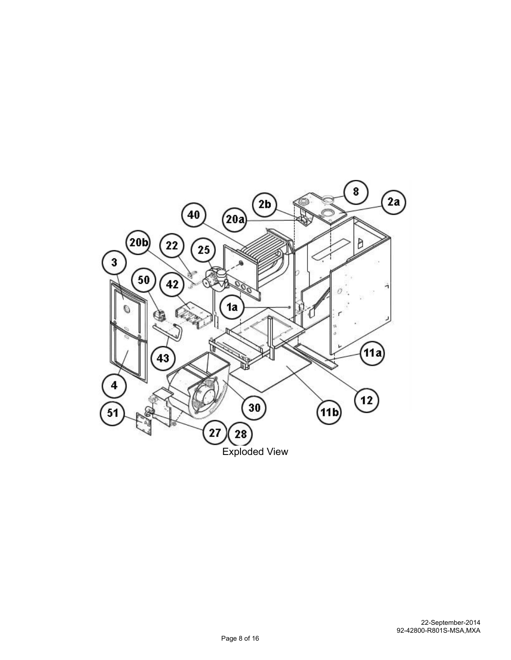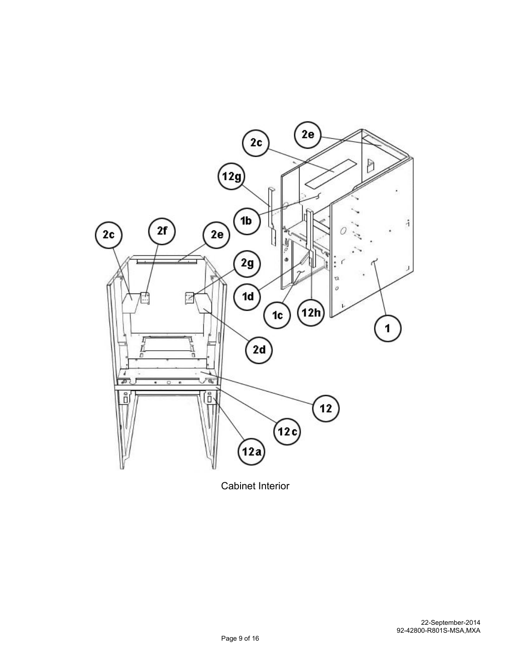

Cabinet Interior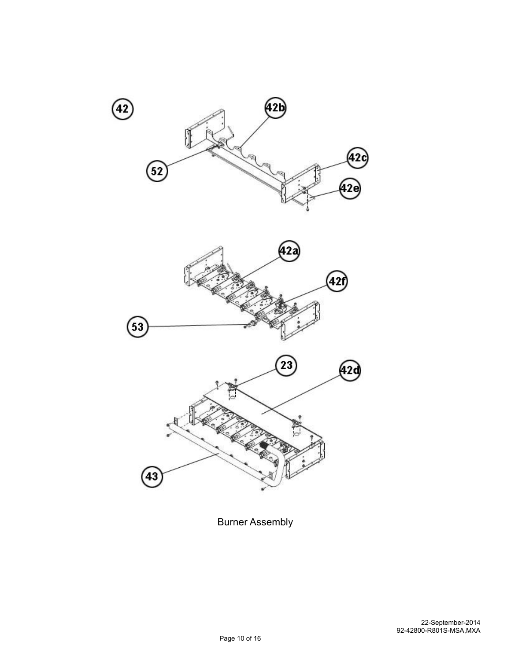





Burner Assembly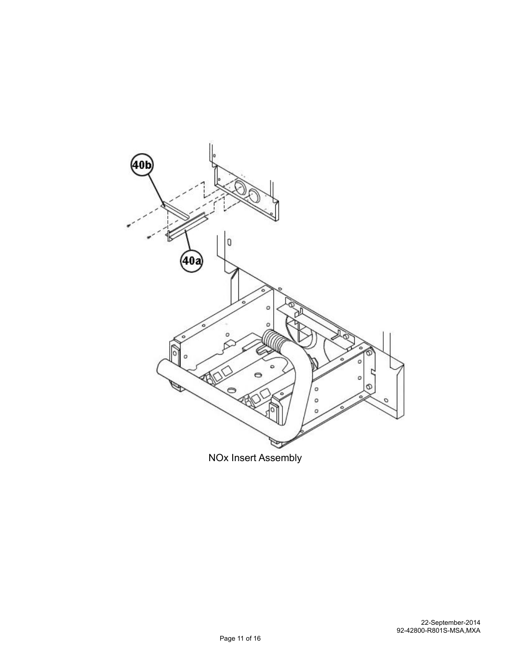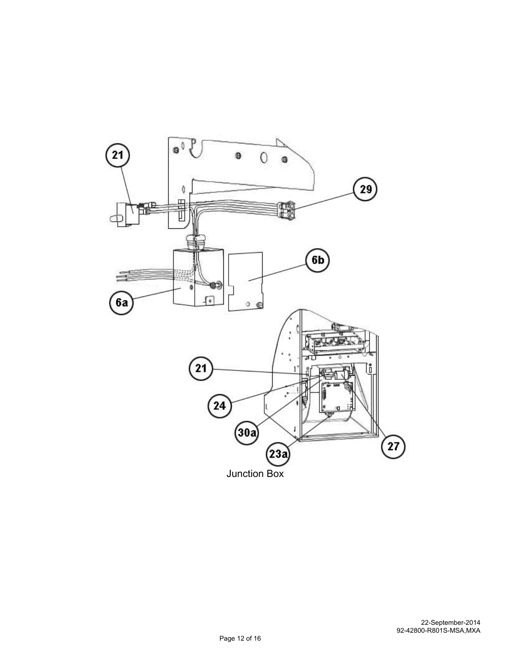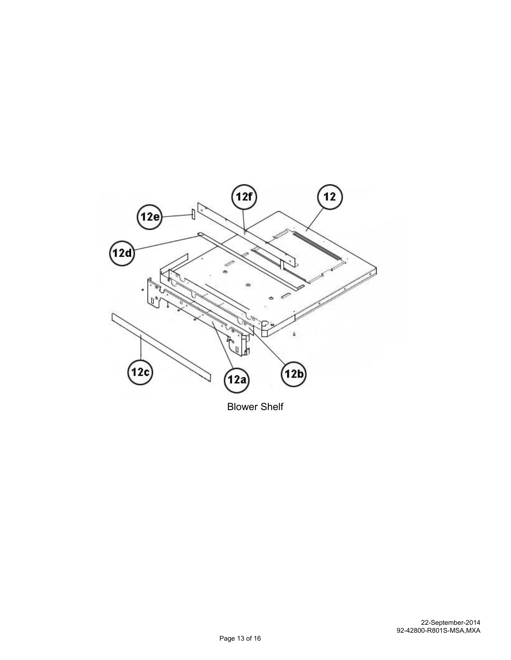

Blower Shelf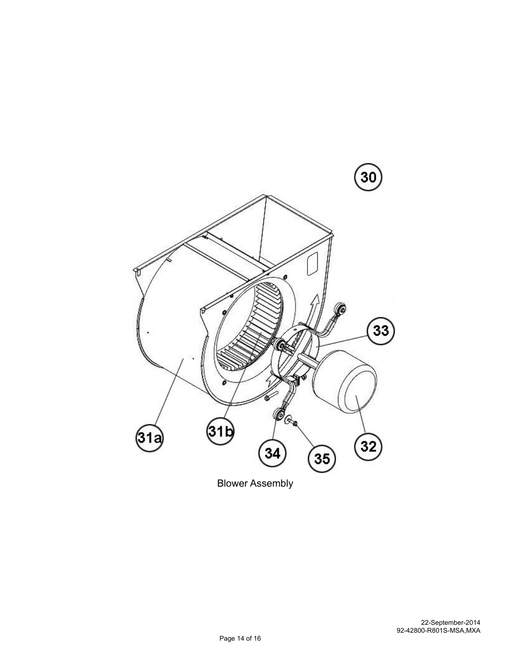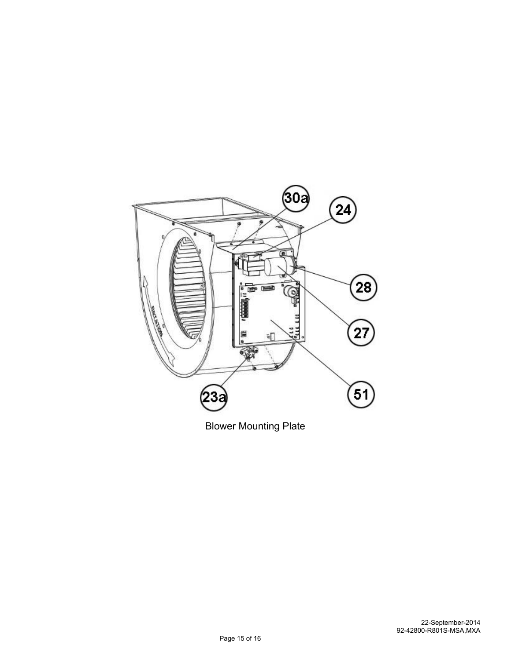